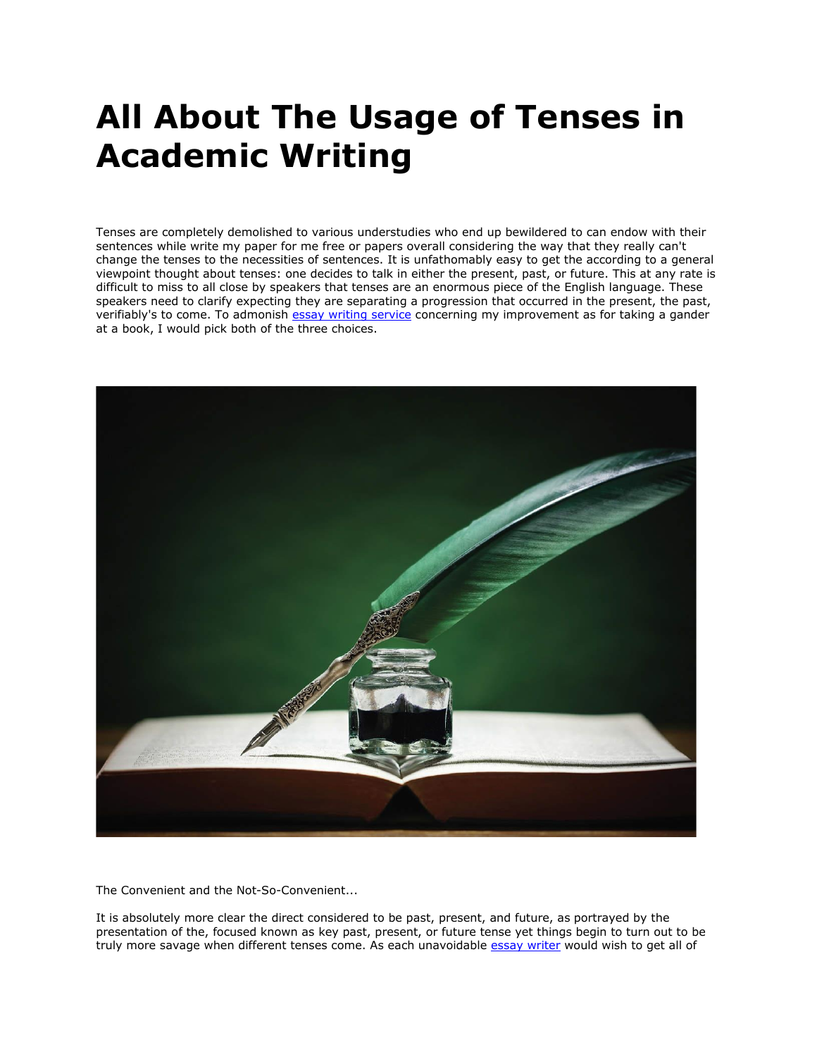## **All About The Usage of Tenses in Academic Writing**

Tenses are completely demolished to various understudies who end up bewildered to can endow with their sentences while write my paper for me free or papers overall considering the way that they really can't change the tenses to the necessities of sentences. It is unfathomably easy to get the according to a general viewpoint thought about tenses: one decides to talk in either the present, past, or future. This at any rate is difficult to miss to all close by speakers that tenses are an enormous piece of the English language. These speakers need to clarify expecting they are separating a progression that occurred in the present, the past, verifiably's to come. To admonish [essay writing service](https://www.collegeessay.org/) concerning my improvement as for taking a gander at a book, I would pick both of the three choices.



The Convenient and the Not-So-Convenient...

It is absolutely more clear the direct considered to be past, present, and future, as portrayed by the presentation of the, focused known as key past, present, or future tense yet things begin to turn out to be truly more savage when different tenses come. As each unavoidable [essay writer](https://www.myperfectwords.com/) would wish to get all of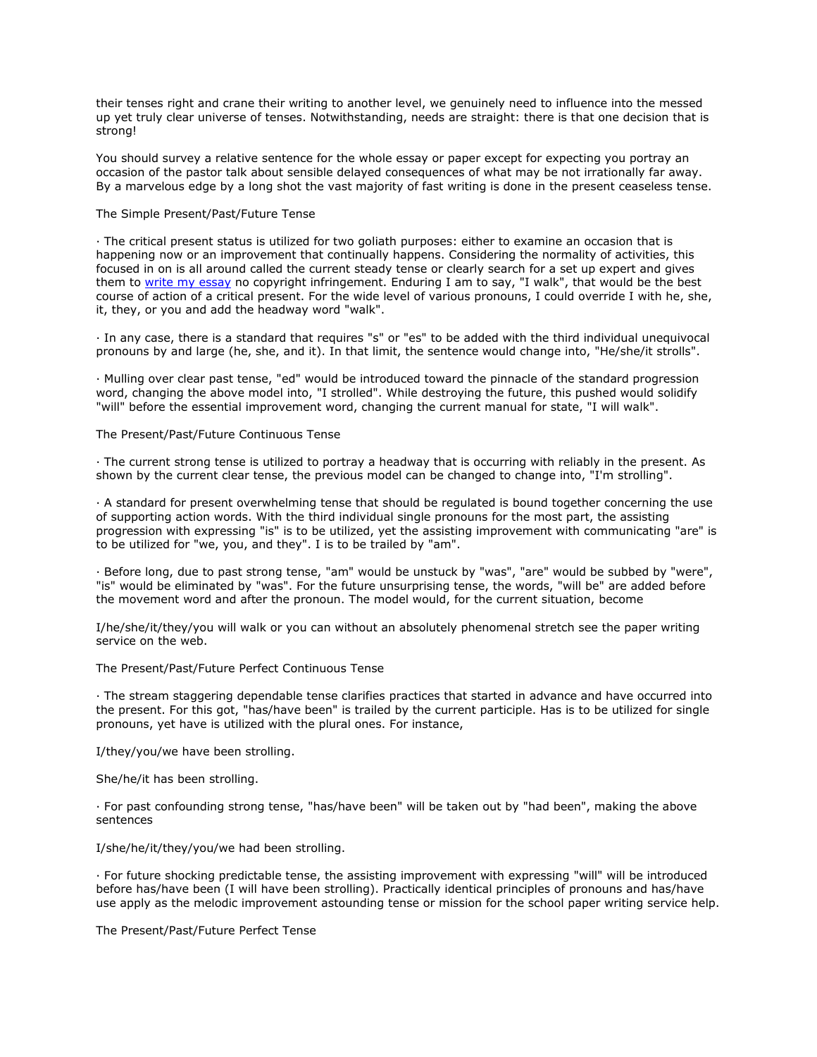their tenses right and crane their writing to another level, we genuinely need to influence into the messed up yet truly clear universe of tenses. Notwithstanding, needs are straight: there is that one decision that is strong!

You should survey a relative sentence for the whole essay or paper except for expecting you portray an occasion of the pastor talk about sensible delayed consequences of what may be not irrationally far away. By a marvelous edge by a long shot the vast majority of fast writing is done in the present ceaseless tense.

## The Simple Present/Past/Future Tense

· The critical present status is utilized for two goliath purposes: either to examine an occasion that is happening now or an improvement that continually happens. Considering the normality of activities, this focused in on is all around called the current steady tense or clearly search for a set up expert and gives them to [write my essay](https://www.myperfectwords.com/) no copyright infringement. Enduring I am to say, "I walk", that would be the best course of action of a critical present. For the wide level of various pronouns, I could override I with he, she, it, they, or you and add the headway word "walk".

· In any case, there is a standard that requires "s" or "es" to be added with the third individual unequivocal pronouns by and large (he, she, and it). In that limit, the sentence would change into, "He/she/it strolls".

· Mulling over clear past tense, "ed" would be introduced toward the pinnacle of the standard progression word, changing the above model into, "I strolled". While destroying the future, this pushed would solidify "will" before the essential improvement word, changing the current manual for state, "I will walk".

## The Present/Past/Future Continuous Tense

· The current strong tense is utilized to portray a headway that is occurring with reliably in the present. As shown by the current clear tense, the previous model can be changed to change into, "I'm strolling".

· A standard for present overwhelming tense that should be regulated is bound together concerning the use of supporting action words. With the third individual single pronouns for the most part, the assisting progression with expressing "is" is to be utilized, yet the assisting improvement with communicating "are" is to be utilized for "we, you, and they". I is to be trailed by "am".

· Before long, due to past strong tense, "am" would be unstuck by "was", "are" would be subbed by "were", "is" would be eliminated by "was". For the future unsurprising tense, the words, "will be" are added before the movement word and after the pronoun. The model would, for the current situation, become

I/he/she/it/they/you will walk or you can without an absolutely phenomenal stretch see the paper writing service on the web.

The Present/Past/Future Perfect Continuous Tense

· The stream staggering dependable tense clarifies practices that started in advance and have occurred into the present. For this got, "has/have been" is trailed by the current participle. Has is to be utilized for single pronouns, yet have is utilized with the plural ones. For instance,

I/they/you/we have been strolling.

She/he/it has been strolling.

· For past confounding strong tense, "has/have been" will be taken out by "had been", making the above sentences

I/she/he/it/they/you/we had been strolling.

· For future shocking predictable tense, the assisting improvement with expressing "will" will be introduced before has/have been (I will have been strolling). Practically identical principles of pronouns and has/have use apply as the melodic improvement astounding tense or mission for the school paper writing service help.

The Present/Past/Future Perfect Tense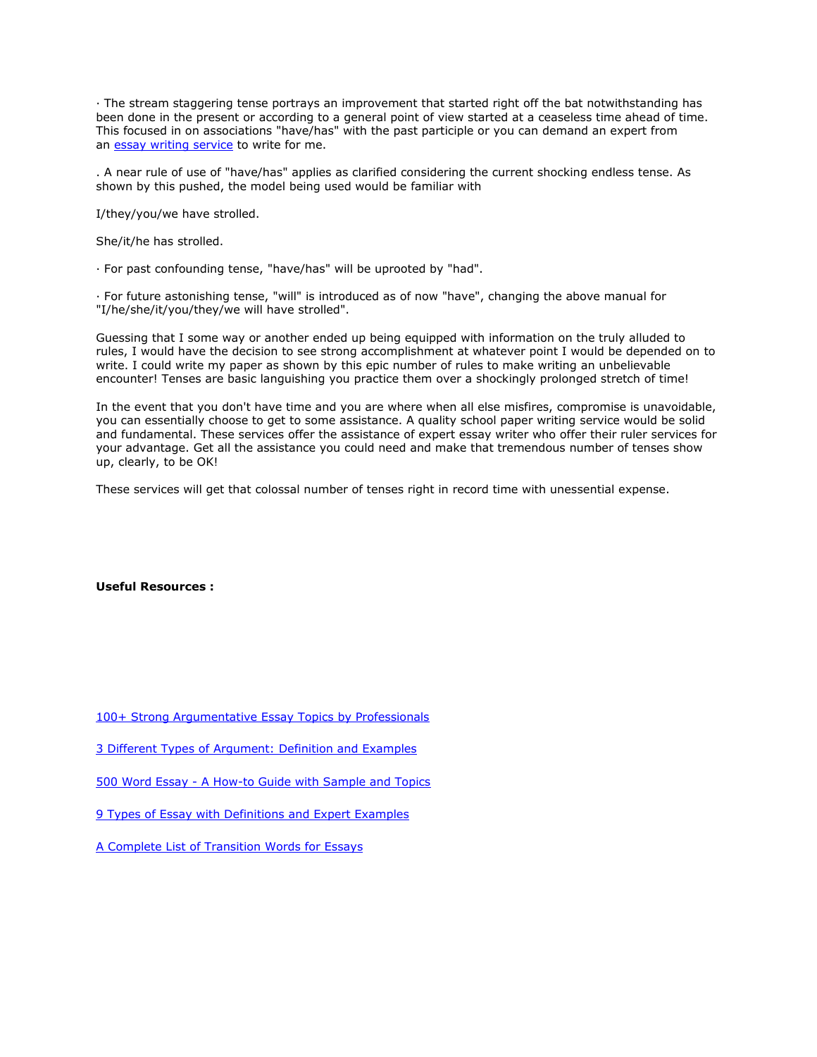· The stream staggering tense portrays an improvement that started right off the bat notwithstanding has been done in the present or according to a general point of view started at a ceaseless time ahead of time. This focused in on associations "have/has" with the past participle or you can demand an expert from an [essay writing service](https://theessaywritingservice.com/) to write for me.

. A near rule of use of "have/has" applies as clarified considering the current shocking endless tense. As shown by this pushed, the model being used would be familiar with

I/they/you/we have strolled.

She/it/he has strolled.

· For past confounding tense, "have/has" will be uprooted by "had".

· For future astonishing tense, "will" is introduced as of now "have", changing the above manual for "I/he/she/it/you/they/we will have strolled".

Guessing that I some way or another ended up being equipped with information on the truly alluded to rules, I would have the decision to see strong accomplishment at whatever point I would be depended on to write. I could write my paper as shown by this epic number of rules to make writing an unbelievable encounter! Tenses are basic languishing you practice them over a shockingly prolonged stretch of time!

In the event that you don't have time and you are where when all else misfires, compromise is unavoidable, you can essentially choose to get to some assistance. A quality school paper writing service would be solid and fundamental. These services offer the assistance of expert essay writer who offer their ruler services for your advantage. Get all the assistance you could need and make that tremendous number of tenses show up, clearly, to be OK!

These services will get that colossal number of tenses right in record time with unessential expense.

## **Useful Resources :**

[100+ Strong Argumentative Essay Topics by Professionals](https://essaywriternow.com/blog/argumentative-essay-topics)

[3 Different Types of Argument: Definition and Examples](https://essaywriternow.com/blog/types-of-argument)

500 Word Essay - [A How-to Guide with Sample and Topics](https://youressaywriter.net/blog/500-word-essay)

[9 Types of Essay with Definitions and Expert Examples](https://writemyessayfast.net/blog/types-of-essay)

[A Complete List of Transition Words for Essays](https://writemyessayfast.net/blog/transition-words-for-essays)